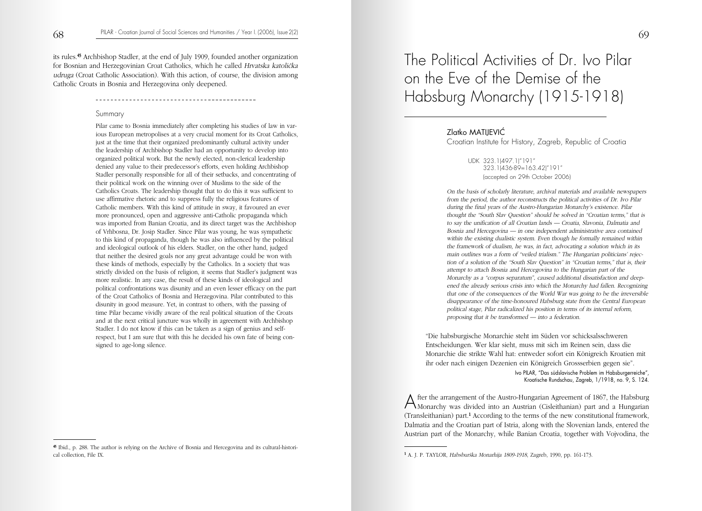its rules.45 Archbishop Stadler, at the end of July 1909, founded another organization for Bosnian and Herzegovinian Croat Catholics, which he called Hrvatska katolička udruga (Croat Catholic Association). With this action, of course, the division among Catholic Croats in Bosnia and Herzegovina only deepened.

#### Summary

Pilar came to Bosnia immediately after completing his studies of law in various European metropolises at a very crucial moment for its Croat Catholics, just at the time that their organized predominantly cultural activity under the leadership of Archbishop Stadler had an opportunity to develop into organized political work. But the newly elected, non-clerical leadership denied any value to their predecessor's efforts, even holding Archbishop Stadler personally responsible for all of their setbacks, and concentrating of their political work on the winning over of Muslims to the side of the Catholics Croats. The leadership thought that to do this it was sufficient to use affirmative rhetoric and to suppress fully the religious features of Catholic members. With this kind of attitude in sway, it favoured an ever more pronounced, open and aggressive anti-Catholic propaganda which was imported from Banian Croatia, and its direct target was the Archbishop of Vrhbosna, Dr. Josip Stadler. Since Pilar was young, he was sympathetic to this kind of propaganda, though he was also influenced by the political and ideological outlook of his elders. Stadler, on the other hand, judged that neither the desired goals nor any great advantage could be won with these kinds of methods, especially by the Catholics. In a society that was strictly divided on the basis of religion, it seems that Stadler's judgment was more realistic. In any case, the result of these kinds of ideological and political confrontations was disunity and an even lesser efficacy on the part of the Croat Catholics of Bosnia and Herzegovina. Pilar contributed to this disunity in good measure. Yet, in contrast to others, with the passing of time Pilar became vividly aware of the real political situation of the Croats and at the next critical juncture was wholly in agreement with Archbishop Stadler. I do not know if this can be taken as a sign of genius and selfrespect, but I am sure that with this he decided his own fate of being consigned to age-long silence.

# The Political Activities of Dr. Ivo Pilar on the Eve of the Demise of the Habsburg Monarchy (1915-1918)

Zlatko MATIJEVIĆ

Croatian Institute for History, Zagreb, Republic of Croatia

UDK 323.1(497.1)"191" 323.1(436-89=163.42)"191" (accepted on 29th October 2006)

On the basis of scholarly literature, archival materials and available newspapers from the period, the author reconstructs the political activities of Dr. Ivo Pilar during the final years of the Austro-Hungarian Monarchy's existence. Pilar thought the "South Slav Question" should be solved in "Croatian terms," that is to say the unification of all Croatian lands — Croatia, Slavonia, Dalmatia and Bosnia and Hercegovina — in one independent administrative area contained within the existing dualistic system. Even though he formally remained within the framework of dualism, he was, in fact, advocating a solution which in its main outlines was a form of "veiled trialism." The Hungarian politicians' rejection of a solution of the "South Slav Question" in "Croatian terms," that is, their attempt to attach Bosnia and Hercegovina to the Hungarian part of the Monarchy as a "corpus separatum", caused additional dissatisfaction and deepened the already serious crisis into which the Monarchy had fallen. Recognizing that one of the consequences of the World War was going to be the irreversible disappearance of the time-honoured Habsburg state from the Central European political stage, Pilar radicalized his position in terms of its internal reform, proposing that it be transformed — into a federation.

"Die habsburgische Monarchie steht im Süden vor schicksalsschweren Entscheidungen. Wer klar sieht, muss mit sich im Reinen sein, dass die Monarchie die strikte Wahl hat: entweder sofort ein Königreich Kroatien mit ihr oder nach einigen Dezenien ein Königreich Grossserbien gegen sie".

> Ivo PILAR, "Das südslavische Problem im Habsburgerreiche", Kroatische Rundschau, Zagreb, 1/1918, no. 9, S. 124.

After the arrangement of the Austro-Hungarian Agreement of 1867, the Habsburg<br>Monarchy was divided into an Austrian (Cisleithanian) part and a Hungarian (Transleithanian) part.1 According to the terms of the new constitutional framework, Dalmatia and the Croatian part of Istria, along with the Slovenian lands, entered the Austrian part of the Monarchy, while Banian Croatia, together with Vojvodina, the

<sup>45</sup> Ibid., p. 288. The author is relying on the Archive of Bosnia and Hercegovina and its cultural-historical collection, File IX.

<sup>&</sup>lt;sup>1</sup> A. J. P. TAYLOR, Habsburška Monarhija 1809-1918, Zagreb, 1990, pp. 161-173.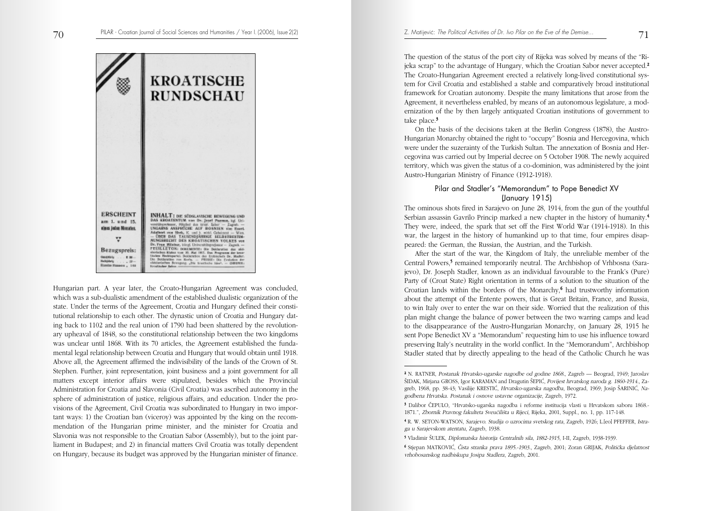**KROATISCHE RUNDSCHAU ERSCHEINT** INHALT: DIE SÜDSLAVISCHE BEWEGENG UND DAS KROATERTUM von Dr. Jesel Paemas, hgt. Universiteiten in 1996. – Zapat. Die Universiteiten von Scher (\* 1996).<br>UNGARINS ANSPECTER AUF ROSNIER von State (\* 1996). am 1, und 15. eines jeden Monates. Added vs Set, K and L and Column - Was - Con - Con - Con and Column - Con - Con - Con SERVING SELBERGES TO v Succession and the contract and the contract of the Paul Michael Bills of the state of the state of the state of the state of the state of the state of the state of the state of the state of the state of the state of the S Bezugspreis:  $1.38$ **Balleplant**  $-148$ 

Hungarian part. A year later, the Croato-Hungarian Agreement was concluded, which was a sub-dualistic amendment of the established dualistic organization of the state. Under the terms of the Agreement, Croatia and Hungary defined their constitutional relationship to each other. The dynastic union of Croatia and Hungary dating back to 1102 and the real union of 1790 had been shattered by the revolutionary upheaval of 1848, so the constitutional relationship between the two kingdoms was unclear until 1868. With its 70 articles, the Agreement established the fundamental legal relationship between Croatia and Hungary that would obtain until 1918. Above all, the Agreement affirmed the indivisibility of the lands of the Crown of St. Stephen. Further, joint representation, joint business and a joint government for all matters except interior affairs were stipulated, besides which the Provincial Administration for Croatia and Slavonia (Civil Croatia) was ascribed autonomy in the sphere of administration of justice, religious affairs, and education. Under the provisions of the Agreement, Civil Croatia was subordinated to Hungary in two important ways: 1) the Croatian ban (viceroy) was appointed by the king on the recommendation of the Hungarian prime minister, and the minister for Croatia and Slavonia was not responsible to the Croatian Sabor (Assembly), but to the joint parliament in Budapest; and 2) in financial matters Civil Croatia was totally dependent on Hungary, because its budget was approved by the Hungarian minister of finance.

The question of the status of the port city of Rijeka was solved by means of the "Rijeka scrap" to the advantage of Hungary, which the Croatian Sabor never accepted.<sup>2</sup> The Croato-Hungarian Agreement erected a relatively long-lived constitutional system for Civil Croatia and established a stable and comparatively broad institutional framework for Croatian autonomy. Despite the many limitations that arose from the Agreement, it nevertheless enabled, by means of an autonomous legislature, a modernization of the by then largely antiquated Croatian institutions of government to take place.<sup>3</sup>

On the basis of the decisions taken at the Berlin Congress (1878), the Austro-Hungarian Monarchy obtained the right to "occupy" Bosnia and Hercegovina, which were under the suzerainty of the Turkish Sultan. The annexation of Bosnia and Hercegovina was carried out by Imperial decree on 5 October 1908. The newly acquired territory, which was given the status of a co-dominion, was administered by the joint Austro-Hungarian Ministry of Finance (1912-1918).

### Pilar and Stadler's "Memorandum" to Pope Benedict XV (January 1915)

The ominous shots fired in Sarajevo on June 28, 1914, from the gun of the youthful Serbian assassin Gavrilo Princip marked a new chapter in the history of humanity.4 They were, indeed, the spark that set off the First World War (1914-1918). In this war, the largest in the history of humankind up to that time, four empires disappeared: the German, the Russian, the Austrian, and the Turkish.

After the start of the war, the Kingdom of Italy, the unreliable member of the Central Powers,<sup>5</sup> remained temporarily neutral. The Archbishop of Vrhbosna (Sarajevo), Dr. Joseph Stadler, known as an individual favourable to the Frank's (Pure) Party of (Croat State) Right orientation in terms of a solution to the situation of the Croatian lands within the borders of the Monarchy,<sup>6</sup> had trustworthy information about the attempt of the Entente powers, that is Great Britain, France, and Russia, to win Italy over to enter the war on their side. Worried that the realization of this plan might change the balance of power between the two warring camps and lead to the disappearance of the Austro-Hungarian Monarchy, on January 28, 1915 he sent Pope Benedict XV a "Memorandum" requesting him to use his influence toward preserving Italy's neutrality in the world conflict. In the "Memorandum", Archbishop Stadler stated that by directly appealing to the head of the Catholic Church he was

71

<sup>2</sup> N. RATNER, Postanak Hrvatsko-ugarske nagodbe od godine 1868., Zagreb — Beograd, 1949; Jaroslav ©IDAK, Mirjana GROSS, Igor KARAMAN and Dragutin ©EPI∆, Povijest hrvatskog naroda g. 1860-1914., Zagreb, 1968, pp. 38-43; Vasilije KRESTIĆ, *Hrvatsko-ugarska nagodba*, Beograd, 1969; Josip ŠARINIĆ, Nagodbena Hrvatska. Postanak i osnove ustavne organizacije, Zagreb, 1972.

<sup>&</sup>lt;sup>3</sup> Dalibor ČEPULO, "Hrvatsko-ugarska nagodba i reforme institucija vlasti u Hrvatskom saboru 1868.-1871.", Zbornik Pravnog fakulteta Sveučilišta u Rijeci, Rijeka, 2001, Suppl., no. 1, pp. 117-148.

<sup>4</sup> R. W. SETON-WATSON, Sarajevo. Studija o uzrocima svetskog rata, Zagreb, 1926; L.[eo] PFEFFER, Istraga u Sarajevskom atentatu, Zagreb, 1938.

<sup>5</sup> Vladimir ©ULEK, Diplomatska historija Centralnih sila, 1882-1915, I-II, Zagreb, 1938-1939.

<sup>6</sup> Stjepan MATKOVI∆, »ista stranka prava 1895.-1903., Zagreb, 2001; Zoran GRIJAK, PolitiËka djelatnost vrhobosanskog nadbiskupa Josipa Stadlera, Zagreb, 2001.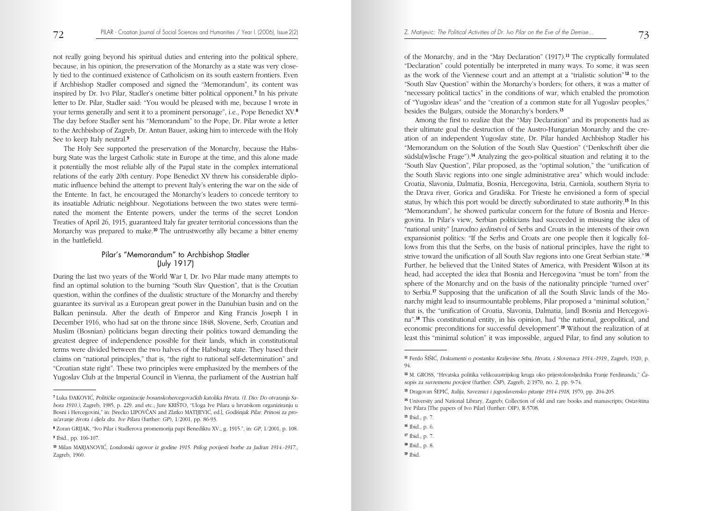not really going beyond his spiritual duties and entering into the political sphere, because, in his opinion, the preservation of the Monarchy as a state was very closely tied to the continued existence of Catholicism on its south eastern frontiers. Even if Archbishop Stadler composed and signed the "Memorandum", its content was inspired by Dr. Ivo Pilar, Stadler's onetime bitter political opponent.7 In his private letter to Dr. Pilar, Stadler said: "You would be pleased with me, because I wrote in your terms generally and sent it to a prominent personage", i.e., Pope Benedict XV.8 The day before Stadler sent his "Memorandum" to the Pope, Dr. Pilar wrote a letter to the Archbishop of Zagreb, Dr. Antun Bauer, asking him to intercede with the Holy See to keep Italy neutral.9

The Holy See supported the preservation of the Monarchy, because the Habsburg State was the largest Catholic state in Europe at the time, and this alone made it potentially the most reliable ally of the Papal state in the complex international relations of the early 20th century. Pope Benedict XV threw his considerable diplomatic influence behind the attempt to prevent Italy's entering the war on the side of the Entente. In fact, he encouraged the Monarchy's leaders to concede territory to its insatiable Adriatic neighbour. Negotiations between the two states were terminated the moment the Entente powers, under the terms of the secret London Treaties of April 26, 1915, guaranteed Italy far greater territorial concessions than the Monarchy was prepared to make.<sup>10</sup> The untrustworthy ally became a bitter enemy in the battlefield.

## Pilar's "Memorandum" to Archbishop Stadler (July 1917)

During the last two years of the World War I, Dr. Ivo Pilar made many attempts to find an optimal solution to the burning "South Slav Question", that is the Croatian question, within the confines of the dualistic structure of the Monarchy and thereby guarantee its survival as a European great power in the Danubian basin and on the Balkan peninsula. After the death of Emperor and King Francis Joseph I in December 1916, who had sat on the throne since 1848, Slovene, Serb, Croatian and Muslim (Bosnian) politicians began directing their politics toward demanding the greatest degree of independence possible for their lands, which in constitutional terms were divided between the two halves of the Habsburg state. They based their claims on "national principles," that is, "the right to national self-determination" and "Croatian state right". These two principles were emphasized by the members of the Yugoslav Club at the Imperial Council in Vienna, the parliament of the Austrian half

of the Monarchy, and in the "May Declaration"  $(1917).<sup>11</sup>$  The cryptically formulated "Declaration" could potentially be interpreted in many ways. To some, it was seen as the work of the Viennese court and an attempt at a "trialistic solution" <sup>12</sup> to the "South Slav Question" within the Monarchy's borders; for others, it was a matter of "necessary political tactics" in the conditions of war, which enabled the promotion of "Yugoslav ideas" and the "creation of a common state for all Yugoslav peoples," besides the Bulgars, outside the Monarchy's borders.13

Among the first to realize that the "May Declaration" and its proponents had as their ultimate goal the destruction of the Austro-Hungarian Monarchy and the creation of an independent Yugoslav state, Dr. Pilar handed Archbishop Stadler his "Memorandum on the Solution of the South Slav Question" ("Denkschrift über die südsla[w]ische Frage").14 Analyzing the geo-political situation and relating it to the "South Slav Question", Pilar proposed, as the "optimal solution," the "unification of the South Slavic regions into one single administrative area" which would include: Croatia, Slavonia, Dalmatia, Bosnia, Hercegovina, Istria, Carniola, southern Styria to the Drava river, Gorica and Gradiška. For Trieste he envisioned a form of special status, by which this port would be directly subordinated to state authority.<sup>15</sup> In this "Memorandum", he showed particular concern for the future of Bosnia and Hercegovina. In Pilar's view, Serbian politicians had succeeded in misusing the idea of "national unity" [narodno jedinstvo] of Serbs and Croats in the interests of their own expansionist politics: "If the Serbs and Croats are one people then it logically follows from this that the Serbs, on the basis of national principles, have the right to strive toward the unification of all South Slav regions into one Great Serbian state." <sup>16</sup> Further, he believed that the United States of America, with President Wilson at its head, had accepted the idea that Bosnia and Hercegovina "must be torn" from the sphere of the Monarchy and on the basis of the nationality principle "turned over" to Serbia.17 Supposing that the unification of all the South Slavic lands of the Monarchy might lead to insurmountable problems, Pilar proposed a "minimal solution," that is, the "unification of Croatia, Slavonia, Dalmatia, [and] Bosnia and Hercegovina".18 This constitutional entity, in his opinion, had "the national, geopolitical, and economic preconditions for successful development".19 Without the realization of at least this "minimal solution" it was impossible, argued Pilar, to find any solution to

- <sup>15</sup> Ibid., p. 7.
- <sup>16</sup> Ibid., p. 6.
- <sup>17</sup> Ibid., p. 7.
- <sup>18</sup> Ibid., p. 8.
- <sup>19</sup> Ibid.

<sup>7</sup> Luka –AKOVI∆, PolitiËke organizacije bosanskohercegovaËkih katolika Hrvata. (I. Dio: Do otvaranja Sabora 1910.), Zagreb, 1985, p. 229. and etc.; Jure KRIŠTO, "Uloga Ive Pilara u hrvatskom organiziranju u Bosni i Hercegovini," in: [Srećko LIPOVČAN and Zlatko MATIJEVIĆ, ed.], Godišnjak Pilar. Prinosi za prouËavanje æivota i djela dra. Ive Pilara (further: GP), 1/2001, pp. 86-93.

<sup>8</sup> Zoran GRIJAK, "Ivo Pilar i Stadlerova promemorija papi Benediktu XV., g. 1915.", in: GP, 1/2001, p. 108. <sup>9</sup> Ibid., pp. 106-107.

<sup>10</sup> Milan MARJANOVI∆, Londonski ugovor iz godine 1915. Prilog povijesti borbe za Jadran 1914.-1917., Zagreb, 1960.

<sup>11</sup> Ferdo ©I©I∆, Dokumenti o postanku Kraljevine Srba, Hrvata, i Slovenaca 1914.-1919., Zagreb, 1920, p. 94.

<sup>12</sup> M. GROSS, "Hrvatska politika velikoaustrijskog kruga oko prijestolonsljednika Franje Ferdinanda," »asopis za suvremenu povijest (further: ČSP), Zagreb, 2/1970, no. 2, pp. 9-74.

<sup>&</sup>lt;sup>13</sup> Dragovan ŠEPIĆ, Italija, Saveznici i jugoslavensko pitanje 1914-1918, 1970, pp. 204-205.

<sup>&</sup>lt;sup>14</sup> University and National Library, Zagreb; Collection of old and rare books and manuscripts; Ostavština Ive Pilara [The papers of Ivo Pilar] (further: OIP), R-5708.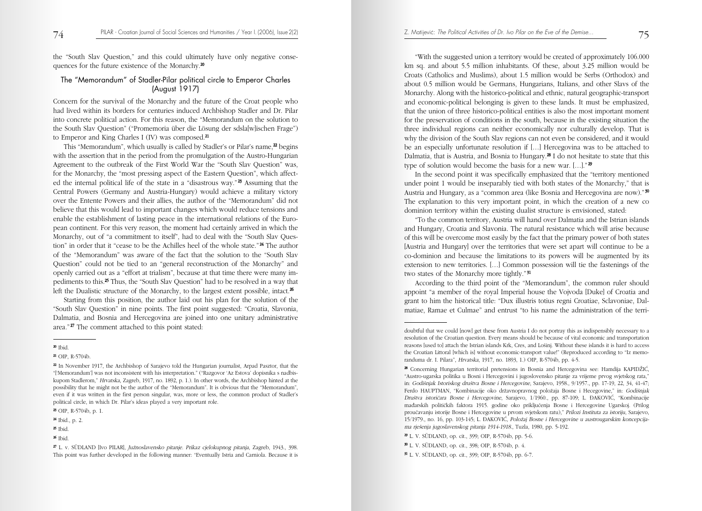the "South Slav Question," and this could ultimately have only negative consequences for the future existence of the Monarchy.20

### The "Memorandum" of Stadler-Pilar political circle to Emperor Charles (August 1917)

Concern for the survival of the Monarchy and the future of the Croat people who had lived within its borders for centuries induced Archbishop Stadler and Dr. Pilar into concrete political action. For this reason, the "Memorandum on the solution to the South Slav Question" ("Promemoria über die Lösung der sdsla[w]ischen Frage") to Emperor and King Charles I (IV) was composed.21

This "Memorandum", which usually is called by Stadler's or Pilar's name,<sup>22</sup> begins with the assertion that in the period from the promulgation of the Austro-Hungarian Agreement to the outbreak of the First World War the "South Slav Question" was, for the Monarchy, the "most pressing aspect of the Eastern Question", which affected the internal political life of the state in a "disastrous way."  $23$  Assuming that the Central Powers (Germany and Austria-Hungary) would achieve a military victory over the Entente Powers and their allies, the author of the "Memorandum" did not believe that this would lead to important changes which would reduce tensions and enable the establishment of lasting peace in the international relations of the European continent. For this very reason, the moment had certainly arrived in which the Monarchy, out of "a commitment to itself", had to deal with the "South Slav Question" in order that it "cease to be the Achilles heel of the whole state." <sup>24</sup> The author of the "Memorandum" was aware of the fact that the solution to the "South Slav Question" could not be tied to an "general reconstruction of the Monarchy" and openly carried out as a "effort at trialism", because at that time there were many impediments to this.25 Thus, the "South Slav Question" had to be resolved in a way that left the Dualistic structure of the Monarchy, to the largest extent possible, intact. $\infty$ 

Starting from this position, the author laid out his plan for the solution of the "South Slav Question" in nine points. The first point suggested: "Croatia, Slavonia, Dalmatia, and Bosnia and Hercegovina are joined into one unitary administrative area." <sup>27</sup> The comment attached to this point stated:

"With the suggested union a territory would be created of approximately 106.000 km sq. and about 5.5 million inhabitants. Of these, about 3.25 million would be Croats (Catholics and Muslims), about 1.5 million would be Serbs (Orthodox) and about 0.5 million would be Germans, Hungarians, Italians, and other Slavs of the Monarchy. Along with the historico-political and ethnic, natural geographic-transport and economic-political belonging is given to these lands. It must be emphasized, that the union of three historico-political entities is also the most important moment for the preservation of conditions in the south, because in the existing situation the three individual regions can neither economically nor culturally develop. That is why the division of the South Slav regions can not even be considered, and it would be an especially unfortunate resolution if […] Hercegovina was to be attached to Dalmatia, that is Austria, and Bosnia to Hungary.28 I do not hesitate to state that this type of solution would become the basis for a new war. [...]."

In the second point it was specifically emphasized that the "territory mentioned under point 1 would be inseparably tied with both states of the Monarchy," that is Austria and Hungary, as a "common area (like Bosnia and Hercegovina are now)." <sup>30</sup> The explanation to this very important point, in which the creation of a new co dominion territory within the existing dualist structure is envisioned, stated:

"To the common territory, Austria will hand over Dalmatia and the Istrian islands and Hungary, Croatia and Slavonia. The natural resistance which will arise because of this will be overcome most easily by the fact that the primary power of both states [Austria and Hungary] over the territories that were set apart will continue to be a co-dominion and because the limitations to its powers will be augmented by its extension to new territories. […] Common possession will tie the fastenings of the two states of the Monarchy more tightly."<sup>31</sup>

According to the third point of the "Memorandum", the common ruler should appoint "a member of the royal Imperial house the Vojvoda [Duke] of Croatia and grant to him the historical title: "Dux illustris totius regni Croatiae, Sclavoniae, Dalmatiae, Ramae et Culmae" and entrust "to his name the administration of the terri-

- <sup>29</sup> L. V. SÜDLAND, op. cit., 399; OIP, R-5704b, pp. 5-6.
- <sup>30</sup> L. V. SÜDLAND, op. cit., 398; OIP, R-5704b, p. 4.
- <sup>31</sup> L. V. SÜDLAND, op. cit., 399; OIP, R-5704b, pp. 6-7.

<sup>20</sup> Ibid.

<sup>21</sup> OIP, R-5704b.

<sup>22</sup> In November 1917, the Archbishop of Sarajevo told the Hungarian journalist, Arpad Pasztor, that the "['Memorandum'] was not inconsistent with his interpretation." ("Razgovor 'Az Estova' dopisnika s nadbiskupom Stadlerom," Hrvatska, Zagreb, 1917, no. 1892, p. 1.). In other words, the Archbishop hinted at the possibility that he might not be the author of the "Memorandum". It is obvious that the "Memorandum", even if it was written in the first person singular, was, more or less, the common product of Stadler's political circle, in which Dr. Pilar's ideas played a very important role.

<sup>23</sup> OIP, R-5704b, p. 1.

<sup>24</sup> Ibid., p. 2.

<sup>25</sup> Ibid.

 $26$  Ibid.

<sup>27</sup> L. v. SÜDLAND [Ivo PILAR], Juænoslavensko pitanje. Prikaz cjelokupnog pitanja, Zagreb, 1943., 398. This point was further developed in the following manner: "Eventually Istria and Carniola. Because it is

doubtful that we could [now] get these from Austria I do not portray this as indispensibly necessary to a resolution of the Croatian question. Every means should be because of vital economic and transportation reasons [used to] attach the Istrian islands Krk, Cres, and Lošinj. Without these islands it is hard to access the Croatian Littoral [which is] without economic-transport value!" (Reproduced according to "Iz memoranduma dr. I. Pilara", Hrvatska, 1917, no. 1893, 1.) OIP, R-5704b, pp. 4-5.

<sup>&</sup>lt;sup>28</sup> Concerning Hungarian territorial pretensions in Bosnia and Hercegovina see: Hamdija KAPIDŽIĆ, "Austro-ugarska politika u Bosni i Hercegovini i jugoslovensko pitanje za vrijeme prvog svjetskog rata," in: Godišnjak Istoriskog društva Bosne i Hercegovine, Sarajevo, 1958., 9/1957., pp. 17-19, 22, 34, 41-47; Ferdo HAUPTMAN, "Kombinacije oko državnopravnog položaja Bosne i Hecegovine," in: Godišnjak Društva istoričara Bosne i Hercegovine, Sarajevo, 1/1960., pp. 87-109; L. ĐAKOVIĆ, "Kombinacije maarskih politiËkih faktora 1915. godine oko prikljuËenja Bosne i Hercegovine Ugarskoj. (Prilog prouËavanju istorije Bosne i Hercegovine u prvom svjetskom ratu)," Prilozi Instituta za istoriju, Sarajevo, 15/1979., no. 16, pp. 103-145; L. ĐAKOVIĆ, Položaj Bosne i Hercegovine u austrougarskim koncepcijama rješenja jugoslavenskog pitanja 1914-1918., Tuzla, 1980, pp. 5-192.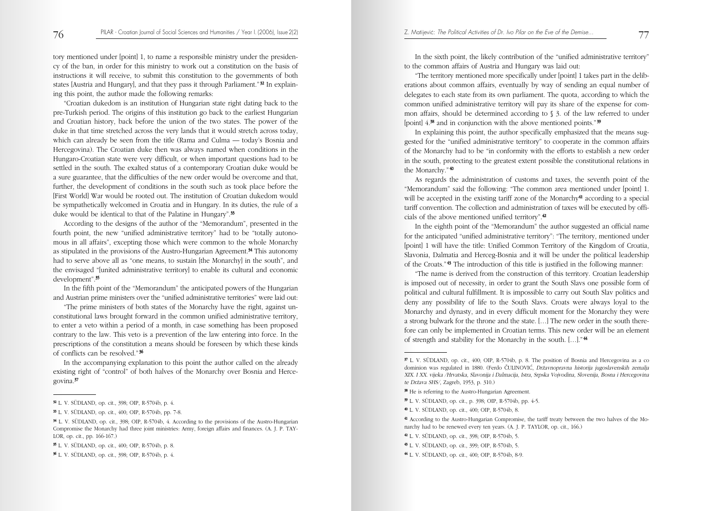tory mentioned under [point] 1, to name a responsible ministry under the presidency of the ban, in order for this ministry to work out a constitution on the basis of instructions it will receive, to submit this constitution to the governments of both states [Austria and Hungary], and that they pass it through Parliament."<sup>32</sup> In explaining this point, the author made the following remarks:

"Croatian dukedom is an institution of Hungarian state right dating back to the pre-Turkish period. The origins of this institution go back to the earliest Hungarian and Croatian history, back before the union of the two states. The power of the duke in that time stretched across the very lands that it would stretch across today, which can already be seen from the title (Rama and Culma — today's Bosnia and Hercegovina). The Croatian duke then was always named when conditions in the Hungaro-Croatian state were very difficult, or when important questions had to be settled in the south. The exalted status of a contemporary Croatian duke would be a sure guarantee, that the difficulties of the new order would be overcome and that, further, the development of conditions in the south such as took place before the [First World] War would be rooted out. The institution of Croatian dukedom would be sympathetically welcomed in Croatia and in Hungary. In its duties, the rule of a duke would be identical to that of the Palatine in Hungary".33

According to the designs of the author of the "Memorandum", presented in the fourth point, the new "unified administrative territory" had to be "totally autonomous in all affairs", excepting those which were common to the whole Monarchy as stipulated in the provisions of the Austro-Hungarian Agreement.<sup>34</sup> This autonomy had to serve above all as "one means, to sustain [the Monarchy] in the south", and the envisaged "[united administrative territory] to enable its cultural and economic development".35

In the fifth point of the "Memorandum" the anticipated powers of the Hungarian and Austrian prime ministers over the "unified administrative territories" were laid out:

"The prime ministers of both states of the Monarchy have the right, against unconstitutional laws brought forward in the common unified administrative territory, to enter a veto within a period of a month, in case something has been proposed contrary to the law. This veto is a prevention of the law entering into force. In the prescriptions of the constitution a means should be foreseen by which these kinds of conflicts can be resolved." <sup>36</sup>

In the accompanying explanation to this point the author called on the already existing right of "control" of both halves of the Monarchy over Bosnia and Hercegovina.37

In the sixth point, the likely contribution of the "unified administrative territory" to the common affairs of Austria and Hungary was laid out:

"The territory mentioned more specifically under [point] 1 takes part in the deliberations about common affairs, eventually by way of sending an equal number of delegates to each state from its own parliament. The quota, according to which the common unified administrative territory will pay its share of the expense for common affairs, should be determined according to § 3. of the law referred to under [point]  $4.38$  and in conjunction with the above mentioned points."  $39$ 

In explaining this point, the author specifically emphasized that the means suggested for the "unified administrative territory" to cooperate in the common affairs of the Monarchy had to be "in conformity with the efforts to establish a new order in the south, protecting to the greatest extent possible the constitutional relations in the Monarchy." <sup>40</sup>

As regards the administration of customs and taxes, the seventh point of the "Memorandum" said the following: "The common area mentioned under [point] 1. will be accepted in the existing tariff zone of the Monarchy<sup>41</sup> according to a special tariff convention. The collection and administration of taxes will be executed by officials of the above mentioned unified territory".42

In the eighth point of the "Memorandum" the author suggested an official name for the anticipated "unified administrative territory": "The territory, mentioned under [point] 1 will have the title: Unified Common Territory of the Kingdom of Croatia, Slavonia, Dalmatia and Herceg-Bosnia and it will be under the political leadership of the Croats." <sup>43</sup> The introduction of this title is justified in the following manner:

"The name is derived from the construction of this territory. Croatian leadership is imposed out of necessity, in order to grant the South Slavs one possible form of political and cultural fulfillment. It is impossible to carry out South Slav politics and deny any possibility of life to the South Slavs. Croats were always loyal to the Monarchy and dynasty, and in every difficult moment for the Monarchy they were a strong bulwark for the throne and the state. […] The new order in the south therefore can only be implemented in Croatian terms. This new order will be an element of strength and stability for the Monarchy in the south. […]." <sup>44</sup>

- <sup>39</sup> L. V. SÜDLAND, op. cit., p. 398; OIP, R-5704b, pp. 4-5.
- <sup>40</sup> L. V. SÜDLAND, op. cit., 400; OIP, R-5704b, 8.

- <sup>42</sup> L. V. SÜDLAND, op. cit., 398; OIP, R-5704b, 5.
- <sup>43</sup> L. V. SÜDLAND, op. cit., 399; OIP, R-5704b, 5.
- <sup>44</sup> L. V. SÜDLAND, op. cit., 400; OIP, R-5704b, 8-9.

<sup>32</sup> L. V. SÜDLAND, op. cit., 398; OIP, R-5704b, p. 4.

<sup>33</sup> L. V. SÜDLAND, op. cit., 400; OIP, R-5704b, pp. 7-8.

<sup>34</sup> L. V. SÜDLAND, op. cit., 398; OIP, R-5704b, 4. According to the provisions of the Austro-Hungarian Compromise the Monarchy had three joint ministries: Army, foreign affairs and finances. (A. J. P. TAY-LOR, op. cit., pp. 166-167.)

<sup>35</sup> L. V. SÜDLAND, op. cit., 400; OIP, R-5704b, p. 8.

<sup>36</sup> L. V. SÜDLAND, op. cit., 398; OIP, R-5704b, p. 4.

<sup>37</sup> L. V. SÜDLAND, op. cit., 400; OIP, R-5704b, p. 8. The position of Bosnia and Hercegovina as a co dominion was regulated in 1880. (Ferdo ČULINOVIĆ, Državnopravna historija jugoslavenskih zemalja XIX. I XX. vijeka /Hrvatska, Slavonija i Dalmacija, Istra, Srpska Vojvodina, Slovenija, Bosna i Hercegovina te Država SHS/, Zagreb, 1953, p. 310.)

<sup>38</sup> He is referring to the Austro-Hungarian Agreement.

<sup>41</sup> According to the Austro-Hungarian Compromise, the tariff treaty between the two halves of the Monarchy had to be renewed every ten years. (A. J. P. TAYLOR, op. cit., 166.)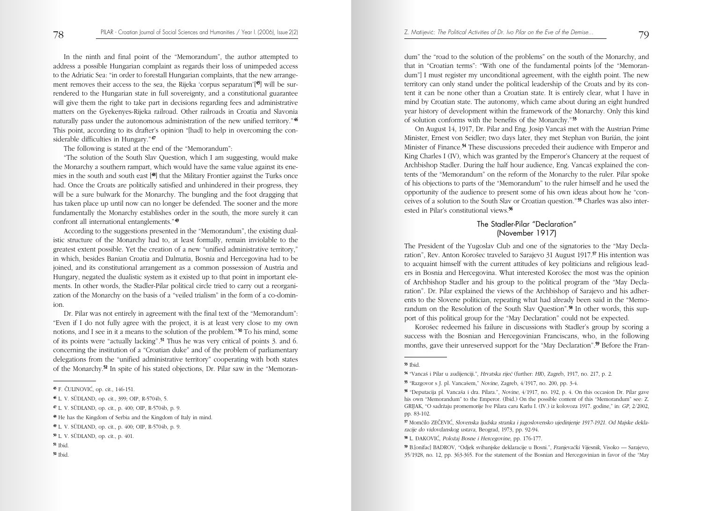In the ninth and final point of the "Memorandum", the author attempted to address a possible Hungarian complaint as regards their loss of unimpeded access to the Adriatic Sea: "in order to forestall Hungarian complaints, that the new arrangement removes their access to the sea, the Rijeka 'corpus separatum'[45 ] will be surrendered to the Hungarian state in full sovereignty, and a constitutional guarantee will give them the right to take part in decisions regarding fees and administrative matters on the Gyekenyes-Rijeka railroad. Other railroads in Croatia and Slavonia naturally pass under the autonomous administration of the new unified territory."<sup>46</sup> This point, according to its drafter's opinion "[had] to help in overcoming the considerable difficulties in Hungary." <sup>47</sup>

The following is stated at the end of the "Memorandum":

"The solution of the South Slav Question, which I am suggesting, would make the Monarchy a southern rampart, which would have the same value against its enemies in the south and south east [<sup>48</sup>] that the Military Frontier against the Turks once had. Once the Croats are politically satisfied and unhindered in their progress, they will be a sure bulwark for the Monarchy. The bungling and the foot dragging that has taken place up until now can no longer be defended. The sooner and the more fundamentally the Monarchy establishes order in the south, the more surely it can confront all international entanglements." <sup>49</sup>

According to the suggestions presented in the "Memorandum", the existing dualistic structure of the Monarchy had to, at least formally, remain inviolable to the greatest extent possible. Yet the creation of a new "unified administrative territory," in which, besides Banian Croatia and Dalmatia, Bosnia and Hercegovina had to be joined, and its constitutional arrangement as a common possession of Austria and Hungary, negated the dualistic system as it existed up to that point in important elements. In other words, the Stadler-Pilar political circle tried to carry out a reorganization of the Monarchy on the basis of a "veiled trialism" in the form of a co-dominion.

Dr. Pilar was not entirely in agreement with the final text of the "Memorandum": "Even if I do not fully agree with the project, it is at least very close to my own notions, and I see in it a means to the solution of the problem."<sup>50</sup> To his mind, some of its points were "actually lacking".51 Thus he was very critical of points 3. and 6. concerning the institution of a "Croatian duke" and of the problem of parliamentary delegations from the "unified administrative territory" cooperating with both states of the Monarchy.52 In spite of his stated objections, Dr. Pilar saw in the "Memoran-

<sup>49</sup> L. V. SÜDLAND, op. cit., p. 400; OIP, R-5704b, p. 9.

dum" the "road to the solution of the problems" on the south of the Monarchy, and that in "Croatian terms": "With one of the fundamental points [of the "Memorandum"] I must register my unconditional agreement, with the eighth point. The new territory can only stand under the political leadership of the Croats and by its content it can be none other than a Croatian state. It is entirely clear, what I have in mind by Croatian state. The autonomy, which came about during an eight hundred year history of development within the framework of the Monarchy. Only this kind of solution conforms with the benefits of the Monarchy." <sup>53</sup>

On August 14, 1917, Dr. Pilar and Eng. Josip Vancaš met with the Austrian Prime Minister, Ernest von Seidler; two days later, they met Stephan von Burián, the joint Minister of Finance.<sup>54</sup> These discussions preceded their audience with Emperor and King Charles I (IV), which was granted by the Emperor's Chancery at the request of Archbishop Stadler. During the half hour audience, Eng. Vancaš explained the contents of the "Memorandum" on the reform of the Monarchy to the ruler. Pilar spoke of his objections to parts of the "Memorandum" to the ruler himself and he used the opportunity of the audience to present some of his own ideas about how he "conceives of a solution to the South Slav or Croatian question." <sup>55</sup> Charles was also interested in Pilar's constitutional views.56

## The Stadler-Pilar "Declaration" (November 1917)

The President of the Yugoslav Club and one of the signatories to the "May Declaration", Rev. Anton Korošec traveled to Sarajevo 31 August 1917.<sup>57</sup> His intention was to acquaint himself with the current attitudes of key politicians and religious leaders in Bosnia and Hercegovina. What interested Korošec the most was the opinion of Archbishop Stadler and his group to the political program of the "May Declaration". Dr. Pilar explained the views of the Archbishop of Sarajevo and his adherents to the Slovene politician, repeating what had already been said in the "Memorandum on the Resolution of the South Slav Question".<sup>58</sup> In other words, this support of this political group for the "May Declaration" could not be expected.

Korošec redeemed his failure in discussions with Stadler's group by scoring a success with the Bosnian and Hercegovinian Franciscans, who, in the following months, gave their unreserved support for the "May Declaration".<sup>59</sup> Before the Fran-

58 L. ĐAKOVIĆ, Položaj Bosne i Hercegovine, pp. 176-177.

**<sup>45</sup>** F. ČULINOVIĆ, op. cit., 146-151.

<sup>46</sup> L. V. SÜDLAND, op. cit., 399; OIP, R-5704b, 5.

<sup>47</sup> L. V. SÜDLAND, op. cit., p. 400; OIP, R-5704b, p. 9.

<sup>48</sup> He has the Kingdom of Serbia and the Kingdom of Italy in mind.

<sup>50</sup> L. V. SÜDLAND, op. cit., p. 401.

<sup>51</sup> Ibid.

<sup>52</sup> Ibid.

 $53$  Ibid.

<sup>54 &</sup>quot;Vancaš i Pilar u audijenciji.", Hrvatska riječ (further: HR), Zagreb, 1917, no. 217, p. 2.

 $55$  "Razgovor s J. pl. Vancašem," Novine, Zagreb,  $4/1917$ , no. 200, pp. 3-4.

<sup>&</sup>lt;sup>56</sup> "Deputacija pl. Vancaša i dra. Pilara.", Novine, 4/1917, no. 192, p. 4. On this occasion Dr. Pilar gave his own "Memorandum" to the Emperor. (Ibid.) On the possible content of this "Memorandum" see: Z. GRIJAK, "O sadræaju promemorije Ive Pilara caru Karlu I. (IV.) iz kolovoza 1917. godine," in: GP, 2/2002, pp. 83-102.

<sup>57</sup> MomËilo ZE»EVI∆, Slovenska ljudska stranka i jugoslovensko ujedinjenje 1917-1921. Od Majske deklaracije do vidovdanskog ustava, Beograd, 1973, pp. 92-94.

<sup>59</sup> B.[onifac] BADROV, "Odjek svibanjske deklaracije u Bosni.", FranjevaËki Vijesnik, Visoko — Sarajevo, 35/1928, no. 12, pp. 363-365. For the statement of the Bosnian and Hercegovinian in favor of the "May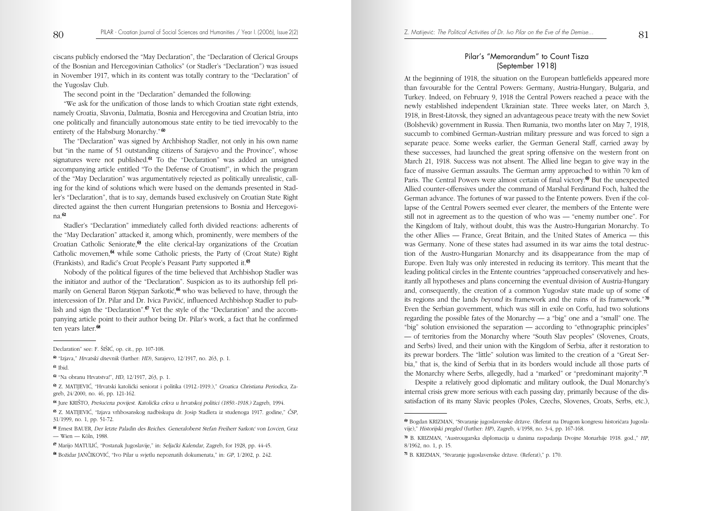ciscans publicly endorsed the "May Declaration", the "Declaration of Clerical Groups of the Bosnian and Hercegovinian Catholics" (or Stadler's "Declaration") was issued in November 1917, which in its content was totally contrary to the "Declaration" of the Yugoslav Club.

The second point in the "Declaration" demanded the following:

"We ask for the unification of those lands to which Croatian state right extends, namely Croatia, Slavonia, Dalmatia, Bosnia and Hercegovina and Croatian Istria, into one politically and financially autonomous state entity to be tied irrevocably to the entirety of the Habsburg Monarchy."<sup>60</sup>

The "Declaration" was signed by Archbishop Stadler, not only in his own name but "in the name of 51 outstanding citizens of Sarajevo and the Province", whose signatures were not published.<sup>61</sup> To the "Declaration" was added an unsigned accompanying article entitled "To the Defense of Croatism!", in which the program of the "May Declaration" was argumentatively rejected as politically unrealistic, calling for the kind of solutions which were based on the demands presented in Stadler's "Declaration", that is to say, demands based exclusively on Croatian State Right directed against the then current Hungarian pretensions to Bosnia and Hercegovina.62

Stadler's "Declaration" immediately called forth divided reactions: adherents of the "May Declaration" attacked it, among which, prominently, were members of the Croatian Catholic Seniorate, $63$  the elite clerical-lay organizations of the Croatian Catholic movemen,<sup>64</sup> while some Catholic priests, the Party of (Croat State) Right (Frankists), and Radić's Croat People's Peasant Party supported it.<sup>65</sup>

Nobody of the political figures of the time believed that Archbishop Stadler was the initiator and author of the "Declaration". Suspicion as to its authorship fell primarily on General Baron Stjepan Sarkotić,<sup>66</sup> who was believed to have, through the intercession of Dr. Pilar and Dr. Ivica Pavičić, influenced Archbishop Stadler to publish and sign the "Declaration".<sup>67</sup> Yet the style of the "Declaration" and the accompanying article point to their author being Dr. Pilar's work, a fact that he confirmed ten years later.<sup>68</sup>

<sup>62</sup> "Na obranu Hrvatstva!", HD, 12/1917, 263, p. 1.

<sup>63</sup> Z. MATIJEVI∆, "Hrvatski katoliËki seniorat i politika (1912.-1919.)," Croatica Christiana Periodica, Zagreb, 24/2000, no. 46, pp. 121-162.

64 Jure KRIŠTO, Prešućena povijest. Katolička crkva u hrvatskoj politici (1850.-1918.) Zagreb, 1994.

<sup>65</sup> Z. MATIJEVI∆, "Izjava vrhbosanskog nadbiskupa dr. Josip Stadlera iz studenoga 1917. godine," »SP, 31/1999, no. 1, pp. 51-72.

66 Ernest BAUER, Der letzte Paladin des Reiches. Generaloberst Stefan Freiherr Sarkoté von Lovéen, Graz — Wien — Köln, 1988.

## Pilar's "Memorandum" to Count Tisza (September 1918)

At the beginning of 1918, the situation on the European battlefields appeared more than favourable for the Central Powers: Germany, Austria-Hungary, Bulgaria, and Turkey. Indeed, on February 9, 1918 the Central Powers reached a peace with the newly established independent Ukrainian state. Three weeks later, on March 3, 1918, in Brest-Litovsk, they signed an advantageous peace treaty with the new Soviet (Bolshevik) government in Russia. Then Rumania, two months later on May 7, 1918, succumb to combined German-Austrian military pressure and was forced to sign a separate peace. Some weeks earlier, the German General Staff, carried away by these successes, had launched the great spring offensive on the western front on March 21, 1918. Success was not absent. The Allied line began to give way in the face of massive German assaults. The German army approached to within 70 km of Paris. The Central Powers were almost certain of final victory.<sup>69</sup> But the unexpected Allied counter-offensives under the command of Marshal Ferdinand Foch, halted the German advance. The fortunes of war passed to the Entente powers. Even if the collapse of the Central Powers seemed ever clearer, the members of the Entente were still not in agreement as to the question of who was — "enemy number one". For the Kingdom of Italy, without doubt, this was the Austro-Hungarian Monarchy. To the other Allies — France, Great Britain, and the United States of America — this was Germany. None of these states had assumed in its war aims the total destruction of the Austro-Hungarian Monarchy and its disappearance from the map of Europe. Even Italy was only interested in reducing its territory. This meant that the leading political circles in the Entente countries "approached conservatively and hesitantly all hypotheses and plans concerning the eventual division of Austria-Hungary and, consequently, the creation of a common Yugoslav state made up of some of its regions and the lands beyond its framework and the ruins of its framework." <sup>70</sup> Even the Serbian government, which was still in exile on Corfu, had two solutions regarding the possible fates of the Monarchy — a "big" one and a "small" one. The "big" solution envisioned the separation — according to "ethnographic principles" — of territories from the Monarchy where "South Slav peoples" (Slovenes, Croats, and Serbs) lived, and their union with the Kingdom of Serbia, after it restoration to its prewar borders. The "little" solution was limited to the creation of a "Great Serbia," that is, the kind of Serbia that in its borders would include all those parts of the Monarchy where Serbs, allegedly, had a "marked" or "predominant majority".71

Despite a relatively good diplomatic and military outlook, the Dual Monarchy's internal crisis grew more serious with each passing day, primarily because of the dissatisfaction of its many Slavic peoples (Poles, Czechs, Slovenes, Croats, Serbs, etc.),

Declaration" see: F. ŠIŠIĆ, op. cit., pp. 107-108.

<sup>60</sup> "Izjava," Hrvatski dnevnik (further: HD), Sarajevo, 12/1917, no. 263, p. 1.

<sup>61</sup> Ibid.

<sup>67</sup> Marijo MATULIĆ, "Postanak Jugoslavije," in: Seljački Kalendar, Zagreb, for 1928, pp. 44-45.

<sup>68</sup> Boæidar JAN»IKOVI∆, "Ivo Pilar u svjetlu nepoznatih dokumenata," in: GP, 1/2002, p. 242.

<sup>69</sup> Bogdan KRIZMAN, "Stvaranje jugoslavenske dræave. (Referat na Drugom kongresu historiËara Jugoslavije)," Historijski pregled (further: HP), Zagreb, 4/1958, no. 3-4, pp. 167-168.

<sup>70</sup> B. KRIZMAN, "Austrougarska diplomacija u danima raspadanja Dvojne Monarhije 1918. god.," HP, 8/1962, no. 1, p. 15.

<sup>71</sup> B. KRIZMAN, "Stvaranje jugoslavenske dræave. (Referat)," p. 170.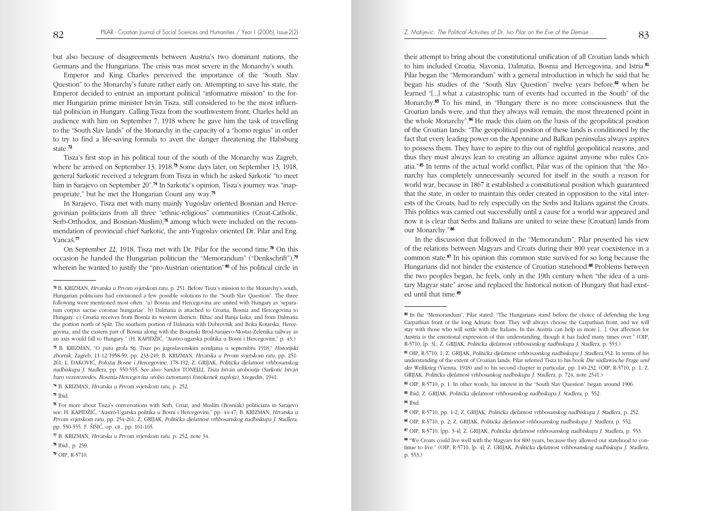but also because of disagreements between Austria's two dominant nations, the Germans and the Hungarians. The crisis was most severe in the Monarchy's south.

Emperor and King Charles perceived the importance of the "South Slav Question" to the Monarchy's future rather early on. Attempting to save his state, the Emperor decided to entrust an important political "informative mission" to the former Hungarian prime minister István Tisza, still considered to be the most influential politician in Hungary. Calling Tisza from the southwestern front, Charles held an audience with him on September 7, 1918 where he gave him the task of travelling to the "South Slav lands" of the Monarchy in the capacity of a "homo regius" in order to try to find a life-saving formula to avert the danger threatening the Habsburg state.<sup>72</sup>

Tisza's first stop in his political tour of the south of the Monarchy was Zagreb, where he arrived on September 13, 1918.<sup>73</sup> Some days later, on September 13, 1918, general Sarkotić received a telegram from Tisza in which he asked Sarkotić "to meet him in Sarajevo on September 20".<sup>74</sup> In Sarkotić's opinion, Tisza's journey was "inappropriate," but he met the Hungarian Count any way.75

In Sarajevo, Tisza met with many mainly Yugoslav oriented Bosnian and Hercegovinian politicians from all three "ethnic-religious" communities (Croat-Catholic, Serb-Orthodox, and Bosnian-Muslim),<sup>76</sup> among which were included on the recommendation of provincial chief Sarkotić, the anti-Yugoslav oriented Dr. Pilar and Eng. Vancaš.<sup>77</sup>

On September 22, 1918, Tisza met with Dr. Pilar for the second time.78 On this occasion he handed the Hungarian politician the "Memorandum" ("Denkschrift"),79 wherein he wanted to justify the "pro-Austrian orientation"<sup>80</sup> of his political circle in their attempt to bring about the constitutional unification of all Croatian lands which to him included Croatia, Slavonia, Dalmatia, Bosnia and Hercegovina, and Istria.<sup>81</sup> Pilar began the "Memorandum" with a general introduction in which he said that he began his studies of the "South Slav Question" twelve years before, $\mathbf{82}$  when he learned "[...] what a catastrophic turn of events had occurred in the South" of the Monarchy.83 To his mind, in "Hungary there is no more consciousness that the Croatian lands were, and that they always will remain, the most threatened point in the whole Monarchy".84 He made this claim on the basis of the geopolitical position of the Croatian lands: "The geopolitical position of these lands is conditioned by the fact that every leading power on the Apennine and Balkan peninsulas always aspires to possess them. They have to aspire to this out of rightful geopolitical reasons, and thus they must always lean to creating an alliance against anyone who rules Croatia." <sup>85</sup> In terms of the actual world conflict, Pilar was of the opinion that "the Monarchy has completely unnecessarily secured for itself in the south a reason for world war, because in 1867 it established a constitutional position which guaranteed that the state, in order to maintain this order created in opposition to the vital interests of the Croats, had to rely especially on the Serbs and Italians against the Croats. This politics was carried out successfully until a cause for a world war appeared and now it is clear that Serbs and Italians are united to seize these [Croatian] lands from our Monarchy." <sup>86</sup>

In the discussion that followed in the "Memorandum", Pilar presented his view of the relations between Magyars and Croats during their 800 year coexistence in a common state.87 In his opinion this common state survived for so long because the Hungarians did not hinder the existence of Croatian statehood.88 Problems between the two peoples began, he feels, only in the 19th century when "the idea of a unitary Magyar state" arose and replaced the historical notion of Hungary that had existed until that time.<sup>89</sup>

<sup>72</sup> B. KRIZMAN, Hrvatska u Prvom svjetskom ratu, p. 251. Before Tisza's mission to the Monarchy's south, Hungarian politicians had envisioned a few possible solutions to the "South Slav Question". The three following were mentioned most often: "a) Bosnia and Hercegovina are united with Hungary as 'separatum corpus sacrae coronae hungariae'. b) Dalmatia is attached to Croatia, Bosnia and Hercegovina to Hungary. c) Croatia receives from Bosnia its western districts: Bihać and Banja Luka, and from Dalmatia the portion north of Split. The southern portion of Dalmatia with Dubrovnik and Boka Kotarska, Hercegovina, and the eastern part of Bosnia along with the Bosanski Brod-Sarajevo-Mostar-Zelenika railway as an axis would fall to Hungary." (H. KAPIDÆI∆, "Austro-ugarska politika u Bosni i Hercegovini," p. 43.)

<sup>73</sup> B. KRIZMAN, "O putu grofa Stj. Tisze po jugoslavenskim zemljama u septembru 1918," Historijski zbornik, Zagreb, 11-12/1958-59, pp. 233-249; B. KRIZMAN, Hrvatska u Prvom svjetskom ratu, pp. 251- 261; L. –AKOVI∆, Poloæaj Bosne i Hercegovine, 178-192; Z. GRIJAK, PolitiËka djelatnost vrhbosanskog nadbiskupa J. Stadlera, pp. 550-555. See also: Sandor TONELLI, Tisza István utolsoutja (Sarkotić István baro vezerezredes, Bosznia-Hercegovina utolso tartomanyi fönökenek naploja), Szegedin, 1941.

<sup>74</sup> B. KRIZMAN, Hrvatska u Prvom svjetskom ratu, p. 252.

 $75$  Ibid.

<sup>76</sup> For more about Tisza's conversations with Serb, Croat, and Muslim (Bosniak) politicians in Sarajevo see: H. KAPIDŽIĆ, "Austro-Ugarska politika u Bosni i Hercegovini," pp. 44-47; B. KRIZMAN, Hrvatska u Prvom svjetskom ratu, pp. 254-261; Z. GRIJAK, PolitiËka djelatnost vrhbosanskog nadbiskupa J. Stadlera, pp. 550-555. F. ŠIŠIĆ, op. cit., pp. 161-165.

<sup>77</sup> B. KRIZMAN, Hrvatska u Prvom svjetskom ratu, p. 252, note 34.

<sup>78</sup> Ibid., p. 259.

<sup>79</sup> OIP, R-5710.

<sup>80</sup> In the "Memorandum", Pilar stated: "The Hungarians stand before the choice of defending the long Carpathian front or the long Adriatic front. They will always choose the Carpathian front, and we will stay with those who will settle with the Italians. In this Austria can help us more […]. Our affection for Austria is the emotional expression of this understanding, though it has faded many times over." (OIP, R-5710, [p. 3].; Z. GRIJAK, PolitiËka djelatnost vrhbosasnkog nadbiskupa J. Stadlera, p. 553.)

<sup>81</sup> OIP, R-5710, 1; Z. GRIJAK, Politička djelatnost vrhbosasnkog nadbiskupa J. Stadlera,552. In terms of his understanding of the extent of Croatian lands, Pilar referred Tisza to his book Die südlawische Frage und der Weltkrieg (Vienna, 1918) and to his second chapter in particular, pp. 140-232. (OIP, R-5710, p. 1; Z. GRIJAK, PolitiËka djelatnost vrhbosankog nadbiskupa J. Stadlera, p. 724, note 2541.)

<sup>82</sup> OIP, R-5710, p. 1. In other words, his interest in the "South Slav Question" began around 1906.

<sup>83</sup> Ibid; Z. GRIJAK, PolitiËka djelatnost vrhbosanskog nadbiskupa J. Stadlera, p. 552.

<sup>84</sup> Ibid.

<sup>85</sup> OIP, R-5710, pp. 1-2; Z. GRIJAK, PolitiËka djelatnost vrhbosanskog nadbiskupa J. Stadlera, p. 252.

<sup>86</sup> OIP, R-5710, p. 2; Z. GRIJAK, Politička djelatnost vrhbosanskog nadbiskupa J. Stadlera, p. 552.

<sup>87</sup> OIP, R-5710, [pp. 3-4]; Z. GRIJAK, Politička djelatnost vrhbosanskog nadbiskupa J. Stadlera, p. 553.

<sup>88</sup> "We Croats could live well with the Magyars for 800 years, because they allowed our statehood to continue to live." (OIP, R-5710, [p. 4]; Z. GRIJAK, PolitiËka djelatnost vrhbosanskog nadbiskupa J. Stadlera, p. 553.)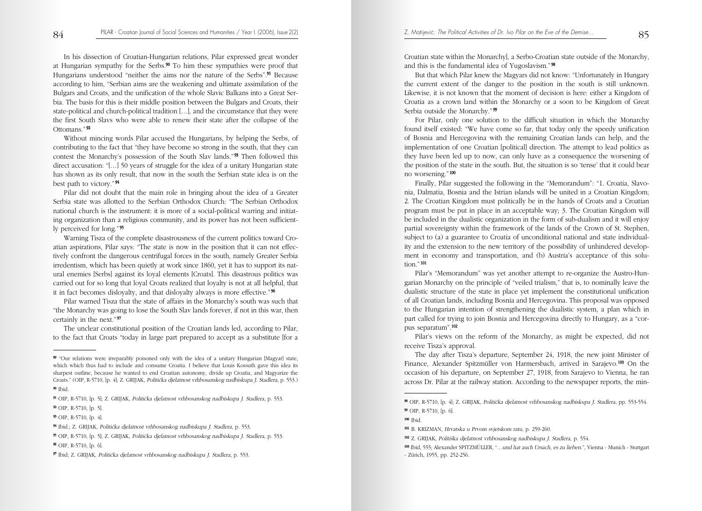In his dissection of Croatian-Hungarian relations, Pilar expressed great wonder at Hungarian sympathy for the Serbs.90 To him these sympathies were proof that Hungarians understood "neither the aims nor the nature of the Serbs".91 Because according to him, "Serbian aims are the weakening and ultimate assimilation of the Bulgars and Croats, and the unification of the whole Slavic Balkans into a Great Serbia. The basis for this is their middle position between the Bulgars and Croats, their state-political and church-political tradition […], and the circumstance that they were the first South Slavs who were able to renew their state after the collapse of the Ottomans." <sup>92</sup>

Without mincing words Pilar accused the Hungarians, by helping the Serbs, of contributing to the fact that "they have become so strong in the south, that they can contest the Monarchy's possession of the South Slav lands."<sup>93</sup> Then followed this direct accusation: "[…] 50 years of struggle for the idea of a unitary Hungarian state has shown as its only result, that now in the south the Serbian state idea is on the best path to victory." <sup>94</sup>

Pilar did not doubt that the main role in bringing about the idea of a Greater Serbia state was allotted to the Serbian Orthodox Church: "The Serbian Orthodox national church is the instrument: it is more of a social-political warring and initiating organization than a religious community, and its power has not been sufficiently perceived for long." <sup>95</sup>

Warning Tisza of the complete disastrousness of the current politics toward Croatian aspirations, Pilar says: "The state is now in the position that it can not effectively confront the dangerous centrifugal forces in the south, namely Greater Serbia irredentism, which has been quietly at work since 1860, yet it has to support its natural enemies [Serbs] against its loyal elements [Croats]. This disastrous politics was carried out for so long that loyal Croats realized that loyalty is not at all helpful, that it in fact becomes disloyalty, and that disloyalty always is more effective." <sup>96</sup>

Pilar warned Tisza that the state of affairs in the Monarchy's south was such that "the Monarchy was going to lose the South Slav lands forever, if not in this war, then certainly in the next." <sup>97</sup>

The unclear constitutional position of the Croatian lands led, according to Pilar, to the fact that Croats "today in large part prepared to accept as a substitute [for a

Croatian state within the Monarchy], a Serbo-Croatian state outside of the Monarchy, and this is the fundamental idea of Yugoslavism." <sup>98</sup>

But that which Pilar knew the Magyars did not know: "Unfortunately in Hungary the current extent of the danger to the position in the south is still unknown. Likewise, it is not known that the moment of decision is here: either a Kingdom of Croatia as a crown land within the Monarchy or a soon to be Kingdom of Great Serbia outside the Monarchy." <sup>99</sup>

For Pilar, only one solution to the difficult situation in which the Monarchy found itself existed: "We have come so far, that today only the speedy unification of Bosnia and Hercegovina with the remaining Croatian lands can help, and the implementation of one Croatian [political] direction. The attempt to lead politics as they have been led up to now, can only have as a consequence the worsening of the position of the state in the south. But, the situation is so 'tense' that it could bear no worsening." <sup>100</sup>

Finally, Pilar suggested the following in the "Memorandum": "1. Croatia, Slavonia, Dalmatia, Bosnia and the Istrian islands will be united in a Croatian Kingdom; 2. The Croatian Kingdom must politically be in the hands of Croats and a Croatian program must be put in place in an acceptable way; 3. The Croatian Kingdom will be included in the dualistic organization in the form of sub-dualism and it will enjoy partial sovereignty within the framework of the lands of the Crown of St. Stephen, subject to (a) a guarantee to Croatia of unconditional national and state individuality and the extension to the new territory of the possibility of unhindered development in economy and transportation, and (b) Austria's acceptance of this solution." <sup>101</sup>

Pilar's "Memorandum" was yet another attempt to re-organize the Austro-Hungarian Monarchy on the principle of "veiled trialism," that is, to nominally leave the dualistic structure of the state in place yet implement the constitutional unification of all Croatian lands, including Bosnia and Hercegovina. This proposal was opposed to the Hungarian intention of strengthening the dualistic system, a plan which in part called for trying to join Bosnia and Hercegovina directly to Hungary, as a "corpus separatum".102

Pilar's views on the reform of the Monarchy, as might be expected, did not receive Tisza's approval.

The day after Tisza's departure, September 24, 1918, the new joint Minister of Finance, Alexander Spitzmüller von Harmersbach, arrived in Sarajevo.103 On the occasion of his departure, on September 27, 1918, from Sarajevo to Vienna, he ran across Dr. Pilar at the railway station. According to the newspaper reports, the min-

<sup>100</sup> Ibid.

<sup>89</sup> "Our relations were irreparably poisoned only with the idea of a unitary Hungarian [Magyar] state, which which thus had to include and consume Croatia. I believe that Louis Kossuth gave this idea its sharpest outline, because he wanted to end Croatian autonomy, divide up Croatia, and Magyarize the Croats." (OIP, R-5710, [p. 4]; Z. GRIJAK, PolitiËka djelatnost vrhbosanskog nadbiskupa J. Stadlera, p. 553.)

<sup>90</sup> Ibid.

<sup>91</sup> OIP, R-5710, [p. 5]; Z. GRIJAK, PolitiËka djelatnost vrhbosanskog nadbiskupa J. Stadlera, p. 553.

<sup>92</sup> OIP, R-5710, [p. 5].

<sup>93</sup> OIP, R-5710, [p. 4].

<sup>94</sup> Ibid.; Z. GRIJAK, PolitiËka djelatnost vrhbosanskog nadbiskupa J. Stadlera, p. 553.

<sup>95</sup> OIP, R-5710, [p. 5]; Z. GRIJAK, PolitiËka djelatnost vrhbosanskog nadbiskupa J. Stadlera, p. 553. <sup>96</sup> OIP, R-5710, [p. 6].

<sup>97</sup> Ibid; Z. GRIJAK, PolitiËka djelatnost vrhbosanskog nadbiskupa J. Stadlera, p. 553.

<sup>98</sup> OIP, R-5710, [p. 4]; Z. GRIJAK, PolitiËka djelatnost vrhbosanskog nadbiskupa J. Stadlera, pp. 553-554.

<sup>99</sup> OIP, R-5710, [p. 6].

<sup>101</sup> B. KRIZMAN, Hrvatska u Prvom svjetskom ratu, p. 259-260.

<sup>102</sup> Z. GRIJAK, Politiška djelatnost vrhbosanskog nadbiskupa J. Stadlera, p. 554.

<sup>103</sup> Ibid, 555; Alexander SPITZMÜLLER, "…und hat auch Ursach, es zu lieben.", Vienna - Munich - Stuttgart - Zürich, 1955, pp. 252-256.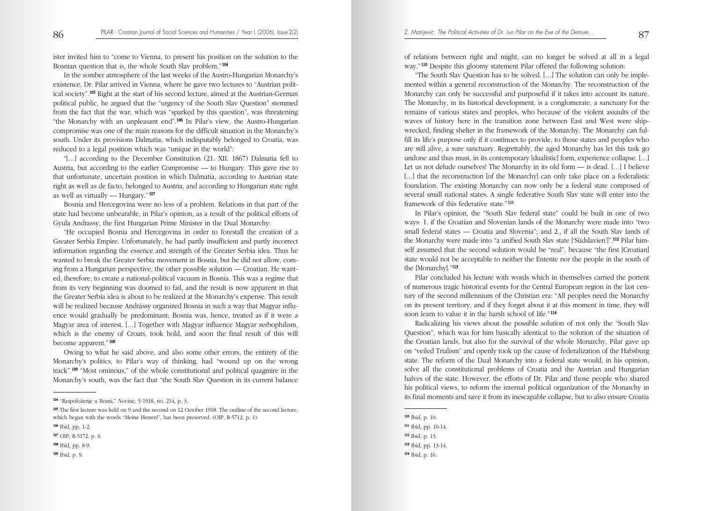ister invited him to "come to Vienna, to present his position on the solution to the Bosnian question that is, the whole South Slav problem." <sup>104</sup>

In the somber atmosphere of the last weeks of the Austro-Hungarian Monarchy's existence, Dr. Pilar arrived in Vienna, where he gave two lectures to "Austrian political society".105 Right at the start of his second lecture, aimed at the Austrian-German political public, he argued that the "urgency of the South Slav Question" stemmed from the fact that the war, which was "sparked by this question", was threatening "the Monarchy with an unpleasant end".106 In Pilar's view, the Austro-Hungarian compromise was one of the main reasons for the difficult situation in the Monarchy's south. Under its provisions Dalmatia, which indisputably belonged to Croatia, was reduced to a legal position which was "unique in the world":

"[…] according to the December Constitution (21. XII. 1867) Dalmatia fell to Austria, but according to the earlier Compromise — to Hungary. This gave rise to that unfortunate, uncertain position in which Dalmatia, according to Austrian state right as well as de facto, belonged to Austria, and according to Hungarian state right as well as virtually — Hungary." <sup>107</sup>

Bosnia and Hercegovina were no less of a problem. Relations in that part of the state had become unbearable, in Pilar's opinion, as a result of the political efforts of Gyula Andrassy, the first Hungarian Prime Minister in the Dual Monarchy:

"He occupied Bosnia and Hercegovina in order to forestall the creation of a Greater Serbia Empire. Unfortunately, he had partly insufficient and partly incorrect information regarding the essence and strength of the Greater Serbia idea. Thus he wanted to break the Greater Serbia movement in Bosnia, but he did not allow, coming from a Hungarian perspective, the other possible solution — Croatian. He wanted, therefore, to create a national-political vacuum in Bosnia. This was a regime that from its very beginning was doomed to fail, and the result is now apparent in that the Greater Serbia idea is about to be realized at the Monarchy's expense. This result will be realized because Andrássy organized Bosnia in such a way that Magyar influence would gradually be predominant; Bosnia was, hence, treated as if it were a Magyar area of interest. […] Together with Magyar influence Magyar serbophilism, which is the enemy of Croats, took hold, and soon the final result of this will become apparent." <sup>108</sup>

Owing to what he said above, and also some other errors, the entirety of the Monarchy's politics, to Pilar's way of thinking, had "wound up on the wrong track".109 "Most ominous," of the whole constitutional and political quagmire in the Monarchy's south, was the fact that "the South Slav Question in its current balance of relations between right and might, can no longer be solved at all in a legal way."<sup>110</sup> Despite this gloomy statement Pilar offered the following solution:

"The South Slav Question has to be solved. […] The solution can only be implemented within a general reconstruction of the Monarchy. The reconstruction of the Monarchy can only be successful and purposeful if it takes into account its nature. The Monarchy, in its historical development, is a conglomerate, a sanctuary for the remains of various states and peoples, who because of the violent assaults of the waves of history here in the transition zone between East and West were shipwrecked, finding shelter in the framework of the Monarchy. The Monarchy can fulfill its life's purpose only if it continues to provide, to those states and peoples who are still alive, a sure sanctuary. Regrettably, the aged Monarchy has let this task go undone and thus must, in its contemporary [dualistic] form, experience collapse. […] Let us not delude ourselves! The Monarchy in its old form — is dead. […] I believe [...] that the reconstruction [of the Monarchy] can only take place on a federalistic foundation. The existing Monarchy can now only be a federal state composed of several small national states. A single federative South Slav state will enter into the framework of this federative state." <sup>111</sup>

In Pilar's opinion, the "South Slav federal state" could be built in one of two ways: 1. if the Croatian and Slovenian lands of the Monarchy were made into "two small federal states — Croatia and Slovenia"; and 2., if all the South Slav lands of the Monarchy were made into "a unified South Slav state ['Südslavien']".112 Pilar himself assumed that the second solution would be "real", because "the first [Croatian] state would not be acceptable to neither the Entente nor the people in the south of the [Monarchy]."113

Pilar concluded his lecture with words which in themselves carried the portent of numerous tragic historical events for the Central European region in the last century of the second millennium of the Christian era: "All peoples need the Monarchy on its present territory, and if they forget about it at this moment in time, they will soon learn to value it in the harsh school of life." <sup>114</sup>

Radicalizing his views about the possible solution of not only the "South Slav Question", which was for him basically identical to the solution of the situation of the Croatian lands, but also for the survival of the whole Monarchy, Pilar gave up on "veiled Trialism" and openly took up the cause of federalization of the Habsburg state. The reform of the Dual Monarchy into a federal state would, in his opinion, solve all the constitutional problems of Croatia and the Austrian and Hungarian halves of the state. However, the efforts of Dr. Pilar and those people who shared his political views, to reform the internal political organization of the Monarchy in its final moments and save it from its inescapable collapse, but to also ensure Croatia

<sup>110</sup> Ibid, p. 10.

<sup>113</sup> Ibid, pp. 13-14.

<sup>104</sup> "Raspoloæenje u Bosni," Novine, 5/1918, no. 214, p. 3.

<sup>105</sup> The first lecture was held on 9 and the second on 12 October 1918. The outline of the second lecture, which began with the words "Meine Herren!", has been preserved. (OIP, R-5712, p. 1).

<sup>106</sup> Ibid, pp. 1-2.

<sup>107</sup> OIP, R-5172, p. 6.

<sup>108</sup> Ibid, pp. 8-9.

<sup>109</sup> Ibid, p. 9.

<sup>111</sup> Ibid, pp. 10-14.

<sup>112</sup> Ibid, p. 13.

<sup>114</sup> Ibid, p. 16.